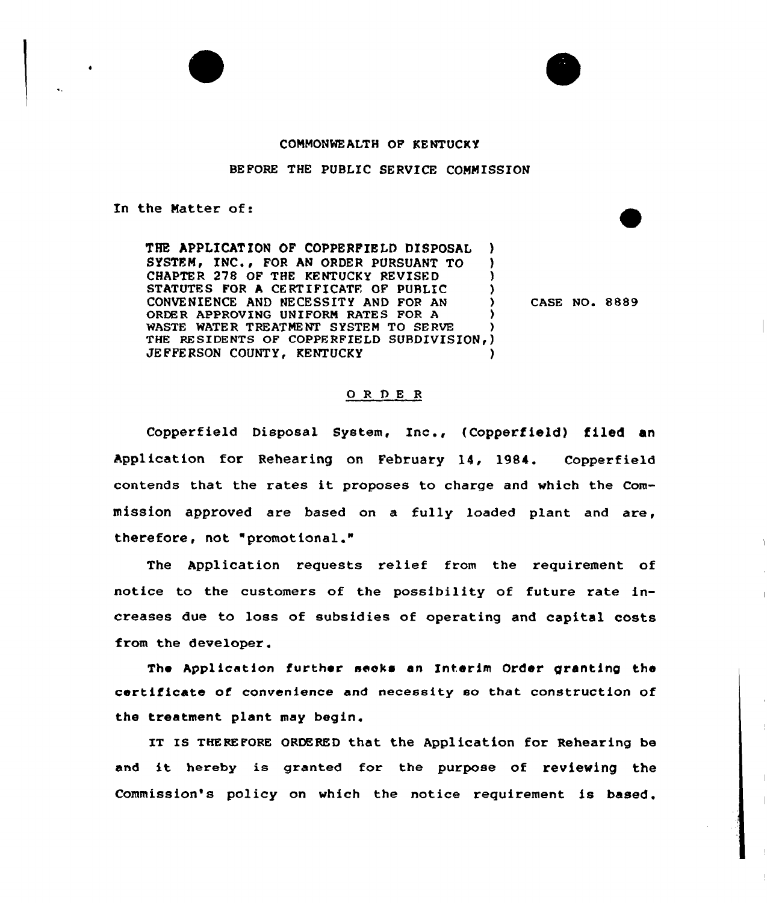



## CONMONWEALTH OF KENTUCKY

## BEFORE THE PUBLIC SERVICE CONNISSION

In the Natter of:

THE APPLICATION OF COPPERFIELD DISPOSAL SYSTEM, INC., FOR AN ORDER PURSUANT TO CHAPTER 278 OF THE KENTUCKY REVISED STATUTES FOR A CERTIFICATE OF PUBLIC CONVENIENCE AND NECESSITY AND FOR AN ORDER APPROVING UNIFORM RATES FOR A WASTE WATER TREATMENT SYSTEM TO SERVE THE RESIDENTS OF COPPERFIELD SUBDIVISION, ) JEFFERSON COUNTY, KENTUCKY

CASE NO. 8889

## ORDER

Copperfield Disposal System, Inc., (Copperfield) filed an Application for Rehearing on February 14, 1984. Copperfield contends that the rates it proposes to charge and which the Commission approved are based on a fully loaded plant and are, therefore, not "promotional."

The Application requests relief from the requirement of notice to the customers of the possibility of future rate increases due to loss of subsidies of operating and capital costs from the developer.

The Application further seeks an Interim Order granting the certificate of convenience and necessity so that construction of the treatment plant may begin.

IT IS THEREFORE ORDERED that the Application for Rehearing be and it hereby is granted for the purpose of reviewing the Commission's policy on which the notice requirement is based.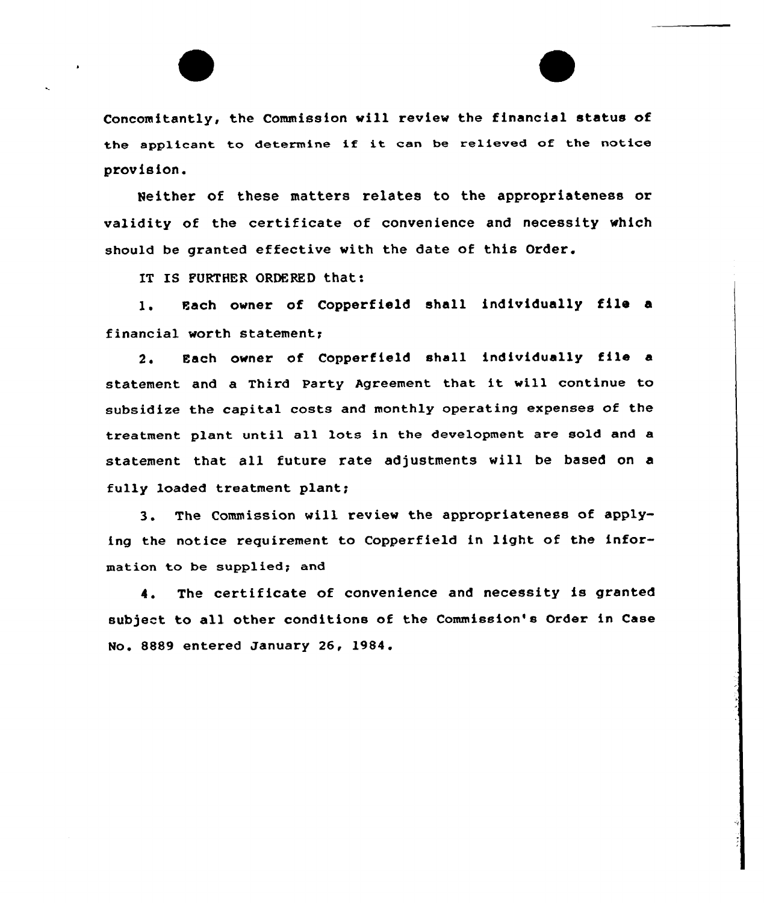Concomitantly, the Commission will review the financial status of the applicant to determine if it can be relieved of the notice provision.

Neither of these matters relates to the appropriateness or validity of the certificate of convenience and necessity which should be granted effective with the date of this Order.

IT IS FURTHER ORDERED that:

l. Each ovner of Copperfield shall individually file <sup>a</sup> financial worth statement;

2. Each owner of Copperfield shall individually file <sup>a</sup> statement and <sup>a</sup> Third Party Agreement that it will continue to subsidize the capital costs and monthly operating expenses of the treatment plant until all lots in the development are sold and a statement that all future rate adjustments vill be based on a fully loaded treatment plant;

3. The Commission will review the appropriateness of applying the notice requirement to Copperfield in light of the information to be supplied; and

4. The certificate of convenience and necessity is granted subject to all other conditions of the Commission's Order in Case No. &889 entered January 26, 1984.